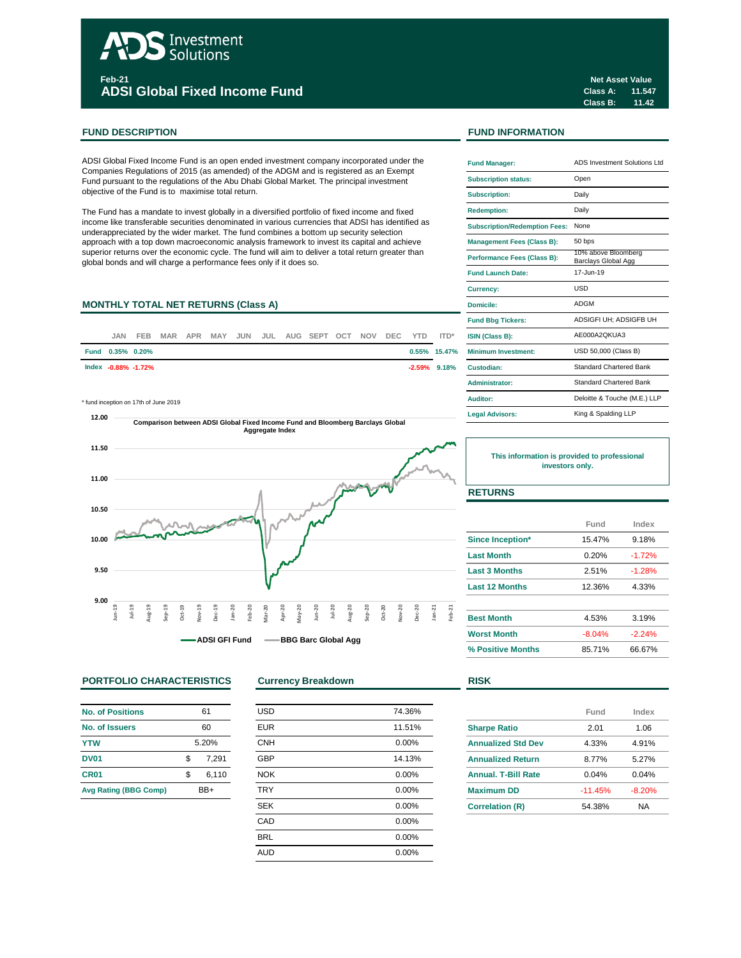# Investment Solutions **Feb-21**

**ADSI Global Fixed Income Fund**

### **FUND DESCRIPTION FUND INFORMATION**

ADSI Global Fixed Income Fund is an open ended investment company incorporated under the Companies Regulations of 2015 (as amended) of the ADGM and is registered as an Exempt Fund pursuant to the regulations of the Abu Dhabi Global Market. The principal investment objective of the Fund is to maximise total return.

The Fund has a mandate to invest globally in a diversified portfolio of fixed income and fixed income like transferable securities denominated in various currencies that ADSI has identified as underappreciated by the wider market. The fund combines a bottom up security selection approach with a top down macroeconomic analysis framework to invest its capital and achieve superior returns over the economic cycle. The fund will aim to deliver a total return greater than global bonds and will charge a performance fees only if it does so.

### **MONTHLY TOTAL NET RETURNS (Class A)**

| JAN                 | FEB |  |  |  | MAR APR MAY JUN JUL AUG SEPT OCT NOV DEC YTD ITD* |  |  |                 | <b>ISIN (Class B):</b>     |
|---------------------|-----|--|--|--|---------------------------------------------------|--|--|-----------------|----------------------------|
| Fund 0.35% 0.20%    |     |  |  |  |                                                   |  |  | $0.55\%$ 15.47% | <b>Minimum Investment:</b> |
| Index -0.88% -1.72% |     |  |  |  |                                                   |  |  | $-2.59\%$ 9.18% | Custodian:                 |
|                     |     |  |  |  |                                                   |  |  |                 |                            |

\* fund inception on 17th of June 2019



### **PORTFOLIO CHARACTERISTICS Currency Breakdown RISK**

| <b>No. of Positions</b>      | 61    |       |  |  |
|------------------------------|-------|-------|--|--|
| No. of Issuers               | 60    |       |  |  |
| <b>YTW</b>                   | 5.20% |       |  |  |
| <b>DV01</b>                  | \$    | 7.291 |  |  |
| CR <sub>01</sub>             | \$    | 6,110 |  |  |
| <b>Avg Rating (BBG Comp)</b> | RR⊥   |       |  |  |

| <b>USD</b> | 74.36% |
|------------|--------|
| <b>EUR</b> | 11.51% |
| <b>CNH</b> | 0.00%  |
| <b>GBP</b> | 14.13% |
| <b>NOK</b> | 0.00%  |
| <b>TRY</b> | 0.00%  |
| <b>SEK</b> | 0.00%  |
| CAD        | 0.00%  |
| <b>BRL</b> | 0.00%  |
| <b>AUD</b> | 0.00%  |
|            |        |

**Class A: 11.547 Class B: 11.42 Net Asset Value**

| <b>Fund Manager:</b>                 | ADS Investment Solutions Ltd               |
|--------------------------------------|--------------------------------------------|
| <b>Subscription status:</b>          | Open                                       |
| <b>Subscription:</b>                 | Daily                                      |
| <b>Redemption:</b>                   | Daily                                      |
| <b>Subscription/Redemption Fees:</b> | None                                       |
| <b>Management Fees (Class B):</b>    | 50 bps                                     |
| <b>Performance Fees (Class B):</b>   | 10% above Bloomberg<br>Barclays Global Agg |
| <b>Fund Launch Date:</b>             | 17-Jun-19                                  |
| <b>Currency:</b>                     | LISD                                       |
| Domicile:                            | <b>ADGM</b>                                |
| <b>Fund Bbg Tickers:</b>             | ADSIGFI UH: ADSIGFB UH                     |
| <b>ISIN (Class B):</b>               | AE000A2OKUA3                               |
| Minimum Investment:                  | USD 50,000 (Class B)                       |
| Custodian:                           | <b>Standard Chartered Bank</b>             |
| Administrator:                       | <b>Standard Chartered Bank</b>             |
| Auditor:                             | Deloitte & Touche (M.E.) LLP               |
| <b>Legal Advisors:</b>               | King & Spalding LLP                        |

# **This information is provided to professional investors only.**

# **RETURNS**

|                       | Fund     | Index    |  |
|-----------------------|----------|----------|--|
| Since Inception*      | 15.47%   | 9.18%    |  |
| <b>Last Month</b>     | 0.20%    | $-1.72%$ |  |
| <b>Last 3 Months</b>  | 2.51%    | $-1.28%$ |  |
| <b>Last 12 Months</b> | 12.36%   | 4.33%    |  |
| <b>Best Month</b>     | 4.53%    | 3.19%    |  |
| <b>Worst Month</b>    | $-8.04%$ | $-2.24%$ |  |
| % Positive Months     | 85.71%   | 66.67%   |  |

|                            | Fund      | Index    |
|----------------------------|-----------|----------|
| <b>Sharpe Ratio</b>        | 2.01      | 1.06     |
| <b>Annualized Std Dev</b>  | 4.33%     | 4.91%    |
| <b>Annualized Return</b>   | 8.77%     | 5.27%    |
| <b>Annual, T-Bill Rate</b> | 0.04%     | 0.04%    |
| <b>Maximum DD</b>          | $-11.45%$ | $-8.20%$ |
| <b>Correlation (R)</b>     | 54.38%    | NA       |